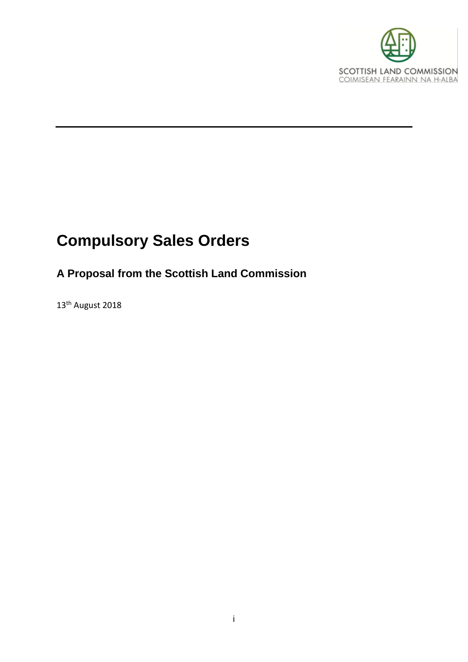

# **Compulsory Sales Orders**

## **A Proposal from the Scottish Land Commission**

13<sup>th</sup> August 2018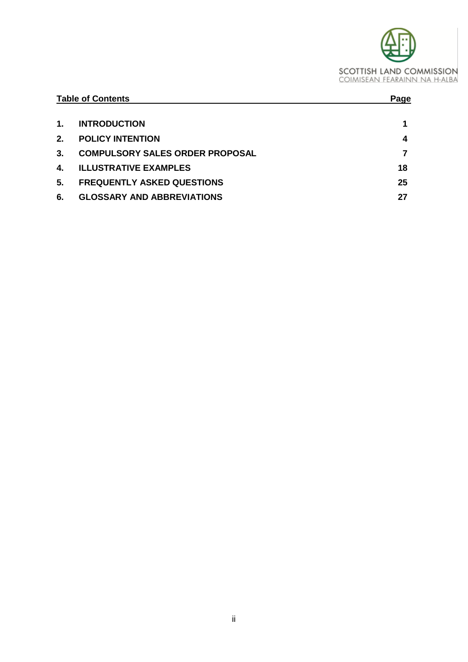

| <b>Table of Contents</b> |                                        | Page |
|--------------------------|----------------------------------------|------|
| 1.                       | <b>INTRODUCTION</b>                    |      |
| 2.                       | <b>POLICY INTENTION</b>                | 4    |
| 3.                       | <b>COMPULSORY SALES ORDER PROPOSAL</b> |      |
| 4.                       | <b>ILLUSTRATIVE EXAMPLES</b>           | 18   |
| 5.                       | <b>FREQUENTLY ASKED QUESTIONS</b>      | 25   |
| 6.                       | <b>GLOSSARY AND ABBREVIATIONS</b>      | 27   |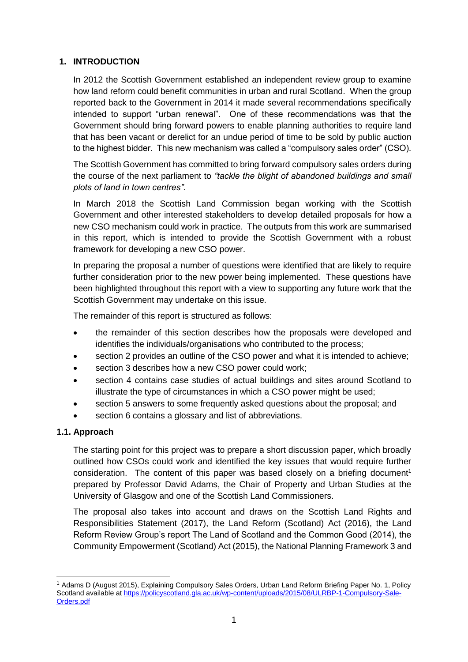## <span id="page-2-0"></span>**1. INTRODUCTION**

In 2012 the Scottish Government established an independent review group to examine how land reform could benefit communities in urban and rural Scotland. When the group reported back to the Government in 2014 it made several recommendations specifically intended to support "urban renewal". One of these recommendations was that the Government should bring forward powers to enable planning authorities to require land that has been vacant or derelict for an undue period of time to be sold by public auction to the highest bidder. This new mechanism was called a "compulsory sales order" (CSO).

The Scottish Government has committed to bring forward compulsory sales orders during the course of the next parliament to *"tackle the blight of abandoned buildings and small plots of land in town centres".* 

In March 2018 the Scottish Land Commission began working with the Scottish Government and other interested stakeholders to develop detailed proposals for how a new CSO mechanism could work in practice. The outputs from this work are summarised in this report, which is intended to provide the Scottish Government with a robust framework for developing a new CSO power.

In preparing the proposal a number of questions were identified that are likely to require further consideration prior to the new power being implemented. These questions have been highlighted throughout this report with a view to supporting any future work that the Scottish Government may undertake on this issue.

The remainder of this report is structured as follows:

- the remainder of this section describes how the proposals were developed and identifies the individuals/organisations who contributed to the process;
- section [2](#page-5-1) provides an outline of the CSO power and what it is intended to achieve;
- section [3](#page-8-1) describes how a new CSO power could work;
- section [4](#page-19-1) contains case studies of actual buildings and sites around Scotland to illustrate the type of circumstances in which a CSO power might be used;
- section [5](#page-26-1) answers to some frequently asked questions about the proposal; and
- section [6](#page-28-1) contains a glossary and list of abbreviations.

## **1.1. Approach**

-

The starting point for this project was to prepare a short discussion paper, which broadly outlined how CSOs could work and identified the key issues that would require further consideration. The content of this paper was based closely on a briefing document<sup>1</sup> prepared by Professor David Adams, the Chair of Property and Urban Studies at the University of Glasgow and one of the Scottish Land Commissioners.

The proposal also takes into account and draws on the Scottish Land Rights and Responsibilities Statement (2017), the Land Reform (Scotland) Act (2016), the Land Reform Review Group's report The Land of Scotland and the Common Good (2014), the Community Empowerment (Scotland) Act (2015), the National Planning Framework 3 and

<sup>1</sup> Adams D (August 2015), Explaining Compulsory Sales Orders, Urban Land Reform Briefing Paper No. 1, Policy Scotland available a[t https://policyscotland.gla.ac.uk/wp-content/uploads/2015/08/ULRBP-1-Compulsory-Sale-](https://policyscotland.gla.ac.uk/wp-content/uploads/2015/08/ULRBP-1-Compulsory-Sale-Orders.pdf)[Orders.pdf](https://policyscotland.gla.ac.uk/wp-content/uploads/2015/08/ULRBP-1-Compulsory-Sale-Orders.pdf)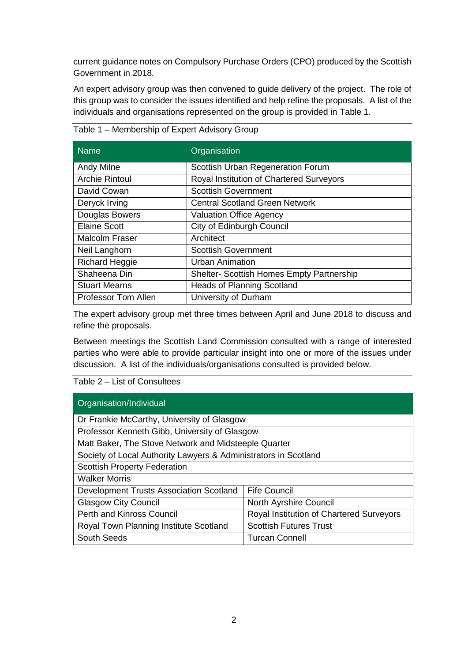current guidance notes on Compulsory Purchase Orders (CPO) produced by the Scottish Government in 2018.

An expert advisory group was then convened to guide delivery of the project. The role of this group was to consider the issues identified and help refine the proposals. A list of the individuals and organisations represented on the group is provided in [Table 1.](#page-3-0)

| <b>Name</b>                | Organisation                              |
|----------------------------|-------------------------------------------|
| <b>Andy Milne</b>          | Scottish Urban Regeneration Forum         |
| <b>Archie Rintoul</b>      | Royal Institution of Chartered Surveyors  |
| David Cowan                | <b>Scottish Government</b>                |
| Deryck Irving              | <b>Central Scotland Green Network</b>     |
| Douglas Bowers             | <b>Valuation Office Agency</b>            |
| <b>Elaine Scott</b>        | <b>City of Edinburgh Council</b>          |
| Malcolm Fraser             | Architect                                 |
| Neil Langhorn              | <b>Scottish Government</b>                |
| <b>Richard Heggie</b>      | <b>Urban Animation</b>                    |
| Shaheena Din               | Shelter- Scottish Homes Empty Partnership |
| <b>Stuart Mearns</b>       | <b>Heads of Planning Scotland</b>         |
| <b>Professor Tom Allen</b> | University of Durham                      |

<span id="page-3-0"></span>Table 1 – Membership of Expert Advisory Group

The expert advisory group met three times between April and June 2018 to discuss and refine the proposals.

Between meetings the Scottish Land Commission consulted with a range of interested parties who were able to provide particular insight into one or more of the issues under discussion. A list of the individuals/organisations consulted is provided below.

| Table 2 – List of Consultees |  |
|------------------------------|--|
|------------------------------|--|

| Organisation/Individual                                         |                                          |  |  |  |
|-----------------------------------------------------------------|------------------------------------------|--|--|--|
| Dr Frankie McCarthy, University of Glasgow                      |                                          |  |  |  |
| Professor Kenneth Gibb, University of Glasgow                   |                                          |  |  |  |
| Matt Baker, The Stove Network and Midsteeple Quarter            |                                          |  |  |  |
| Society of Local Authority Lawyers & Administrators in Scotland |                                          |  |  |  |
| <b>Scottish Property Federation</b>                             |                                          |  |  |  |
| <b>Walker Morris</b>                                            |                                          |  |  |  |
| Development Trusts Association Scotland                         | <b>Fife Council</b>                      |  |  |  |
| <b>Glasgow City Council</b>                                     | North Ayrshire Council                   |  |  |  |
| <b>Perth and Kinross Council</b>                                | Royal Institution of Chartered Surveyors |  |  |  |
| Royal Town Planning Institute Scotland                          | <b>Scottish Futures Trust</b>            |  |  |  |
| South Seeds                                                     | <b>Turcan Connell</b>                    |  |  |  |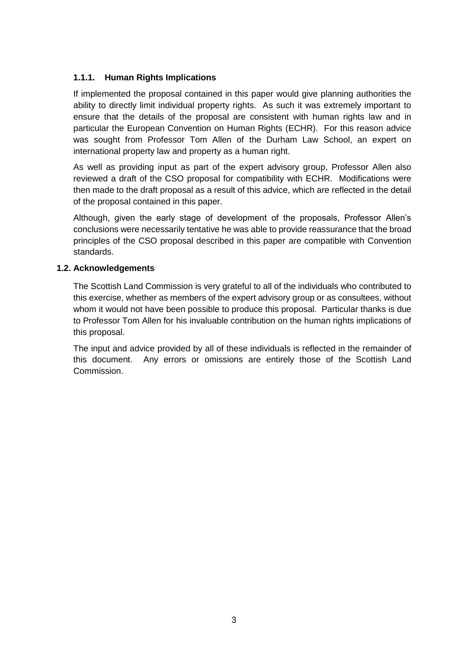## **1.1.1. Human Rights Implications**

If implemented the proposal contained in this paper would give planning authorities the ability to directly limit individual property rights. As such it was extremely important to ensure that the details of the proposal are consistent with human rights law and in particular the European Convention on Human Rights (ECHR). For this reason advice was sought from Professor Tom Allen of the Durham Law School, an expert on international property law and property as a human right.

As well as providing input as part of the expert advisory group, Professor Allen also reviewed a draft of the CSO proposal for compatibility with ECHR. Modifications were then made to the draft proposal as a result of this advice, which are reflected in the detail of the proposal contained in this paper.

Although, given the early stage of development of the proposals, Professor Allen's conclusions were necessarily tentative he was able to provide reassurance that the broad principles of the CSO proposal described in this paper are compatible with Convention standards.

## **1.2. Acknowledgements**

The Scottish Land Commission is very grateful to all of the individuals who contributed to this exercise, whether as members of the expert advisory group or as consultees, without whom it would not have been possible to produce this proposal. Particular thanks is due to Professor Tom Allen for his invaluable contribution on the human rights implications of this proposal.

The input and advice provided by all of these individuals is reflected in the remainder of this document. Any errors or omissions are entirely those of the Scottish Land Commission.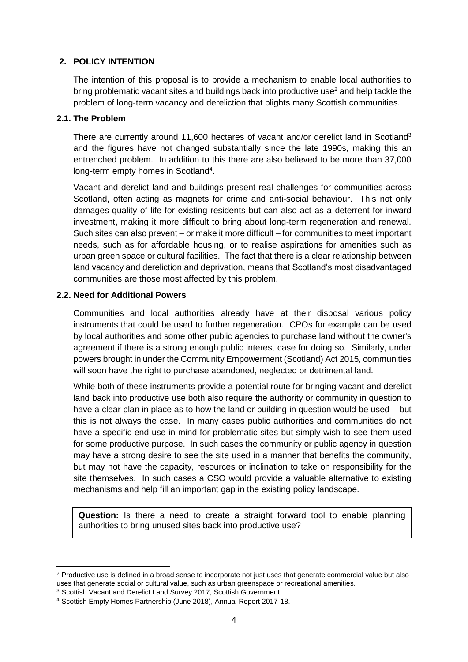## <span id="page-5-1"></span><span id="page-5-0"></span>**2. POLICY INTENTION**

The intention of this proposal is to provide a mechanism to enable local authorities to bring problematic vacant sites and buildings back into productive use<sup>2</sup> and help tackle the problem of long-term vacancy and dereliction that blights many Scottish communities.

#### **2.1. The Problem**

There are currently around 11,600 hectares of vacant and/or derelict land in Scotland<sup>3</sup> and the figures have not changed substantially since the late 1990s, making this an entrenched problem. In addition to this there are also believed to be more than 37,000 long-term empty homes in Scotland<sup>4</sup>.

Vacant and derelict land and buildings present real challenges for communities across Scotland, often acting as magnets for crime and anti-social behaviour. This not only damages quality of life for existing residents but can also act as a deterrent for inward investment, making it more difficult to bring about long-term regeneration and renewal. Such sites can also prevent – or make it more difficult – for communities to meet important needs, such as for affordable housing, or to realise aspirations for amenities such as urban green space or cultural facilities. The fact that there is a clear relationship between land vacancy and dereliction and deprivation, means that Scotland's most disadvantaged communities are those most affected by this problem.

#### **2.2. Need for Additional Powers**

Communities and local authorities already have at their disposal various policy instruments that could be used to further regeneration. CPOs for example can be used by local authorities and some other public agencies to purchase land without the owner's agreement if there is a strong enough public interest case for doing so. Similarly, under powers brought in under the Community Empowerment (Scotland) Act 2015, communities will soon have the right to purchase abandoned, neglected or detrimental land.

While both of these instruments provide a potential route for bringing vacant and derelict land back into productive use both also require the authority or community in question to have a clear plan in place as to how the land or building in question would be used – but this is not always the case. In many cases public authorities and communities do not have a specific end use in mind for problematic sites but simply wish to see them used for some productive purpose. In such cases the community or public agency in question may have a strong desire to see the site used in a manner that benefits the community, but may not have the capacity, resources or inclination to take on responsibility for the site themselves. In such cases a CSO would provide a valuable alternative to existing mechanisms and help fill an important gap in the existing policy landscape.

**Question:** Is there a need to create a straight forward tool to enable planning authorities to bring unused sites back into productive use?

-

<sup>&</sup>lt;sup>2</sup> Productive use is defined in a broad sense to incorporate not just uses that generate commercial value but also uses that generate social or cultural value, such as urban greenspace or recreational amenities.

<sup>&</sup>lt;sup>3</sup> Scottish Vacant and Derelict Land Survey 2017, Scottish Government

<sup>4</sup> Scottish Empty Homes Partnership (June 2018), Annual Report 2017-18.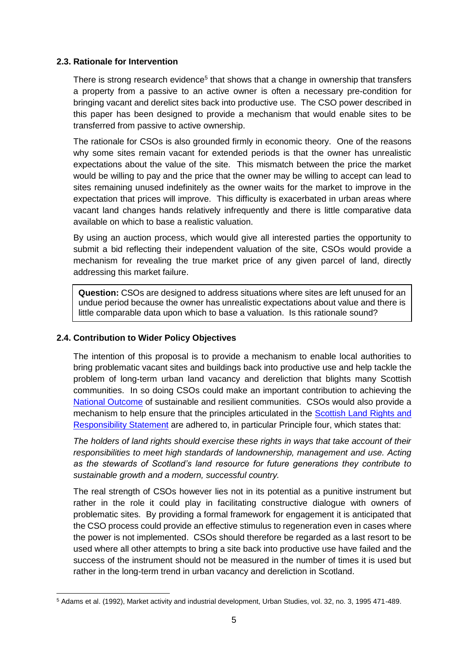#### **2.3. Rationale for Intervention**

There is strong research evidence<sup>5</sup> that shows that a change in ownership that transfers a property from a passive to an active owner is often a necessary pre-condition for bringing vacant and derelict sites back into productive use. The CSO power described in this paper has been designed to provide a mechanism that would enable sites to be transferred from passive to active ownership.

The rationale for CSOs is also grounded firmly in economic theory. One of the reasons why some sites remain vacant for extended periods is that the owner has unrealistic expectations about the value of the site. This mismatch between the price the market would be willing to pay and the price that the owner may be willing to accept can lead to sites remaining unused indefinitely as the owner waits for the market to improve in the expectation that prices will improve. This difficulty is exacerbated in urban areas where vacant land changes hands relatively infrequently and there is little comparative data available on which to base a realistic valuation.

By using an auction process, which would give all interested parties the opportunity to submit a bid reflecting their independent valuation of the site, CSOs would provide a mechanism for revealing the true market price of any given parcel of land, directly addressing this market failure.

**Question:** CSOs are designed to address situations where sites are left unused for an undue period because the owner has unrealistic expectations about value and there is little comparable data upon which to base a valuation. Is this rationale sound?

#### **2.4. Contribution to Wider Policy Objectives**

-

The intention of this proposal is to provide a mechanism to enable local authorities to bring problematic vacant sites and buildings back into productive use and help tackle the problem of long-term urban land vacancy and dereliction that blights many Scottish communities. In so doing CSOs could make an important contribution to achieving the [National Outcome](http://www.gov.scot/About/Performance/scotPerforms/outcome) of sustainable and resilient communities. CSOs would also provide a mechanism to help ensure that the principles articulated in the [Scottish Land Rights and](http://www.gov.scot/Resource/0052/00525166.pdf)  [Responsibility Statement](http://www.gov.scot/Resource/0052/00525166.pdf) are adhered to, in particular Principle four, which states that:

*The holders of land rights should exercise these rights in ways that take account of their responsibilities to meet high standards of landownership, management and use. Acting as the stewards of Scotland's land resource for future generations they contribute to sustainable growth and a modern, successful country.* 

The real strength of CSOs however lies not in its potential as a punitive instrument but rather in the role it could play in facilitating constructive dialogue with owners of problematic sites. By providing a formal framework for engagement it is anticipated that the CSO process could provide an effective stimulus to regeneration even in cases where the power is not implemented. CSOs should therefore be regarded as a last resort to be used where all other attempts to bring a site back into productive use have failed and the success of the instrument should not be measured in the number of times it is used but rather in the long-term trend in urban vacancy and dereliction in Scotland.

<sup>5</sup> Adams et al. (1992), Market activity and industrial development, Urban Studies, vol. 32, no. 3, 1995 471-489.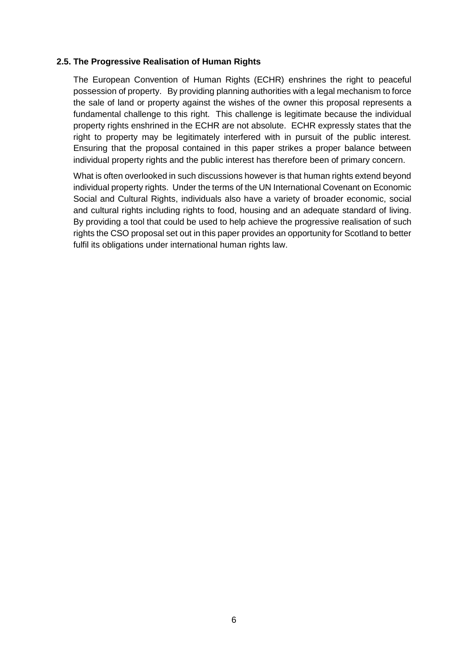#### **2.5. The Progressive Realisation of Human Rights**

The European Convention of Human Rights (ECHR) enshrines the right to peaceful possession of property. By providing planning authorities with a legal mechanism to force the sale of land or property against the wishes of the owner this proposal represents a fundamental challenge to this right. This challenge is legitimate because the individual property rights enshrined in the ECHR are not absolute. ECHR expressly states that the right to property may be legitimately interfered with in pursuit of the public interest. Ensuring that the proposal contained in this paper strikes a proper balance between individual property rights and the public interest has therefore been of primary concern.

What is often overlooked in such discussions however is that human rights extend beyond individual property rights. Under the terms of the UN International Covenant on Economic Social and Cultural Rights, individuals also have a variety of broader economic, social and cultural rights including rights to food, housing and an adequate standard of living. By providing a tool that could be used to help achieve the progressive realisation of such rights the CSO proposal set out in this paper provides an opportunity for Scotland to better fulfil its obligations under international human rights law.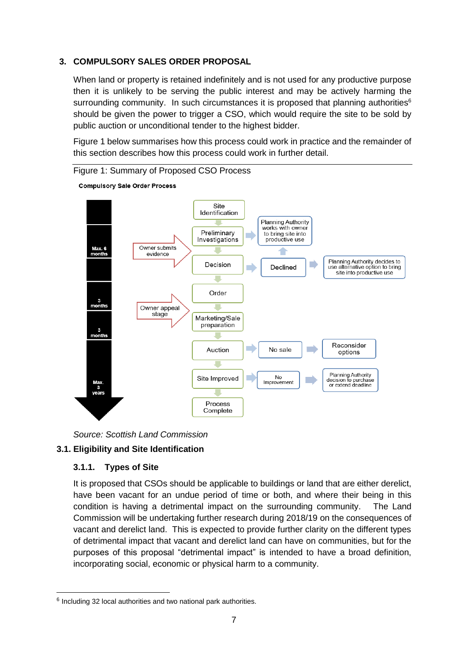## <span id="page-8-1"></span><span id="page-8-0"></span>**3. COMPULSORY SALES ORDER PROPOSAL**

When land or property is retained indefinitely and is not used for any productive purpose then it is unlikely to be serving the public interest and may be actively harming the surrounding community. In such circumstances it is proposed that planning authorities<sup>6</sup> should be given the power to trigger a CSO, which would require the site to be sold by public auction or unconditional tender to the highest bidder.

Figure 1 below summarises how this process could work in practice and the remainder of this section describes how this process could work in further detail.



*Source: Scottish Land Commission*

## **3.1. Eligibility and Site Identification**

#### <span id="page-8-2"></span>**3.1.1. Types of Site**

-

It is proposed that CSOs should be applicable to buildings or land that are either derelict, have been vacant for an undue period of time or both, and where their being in this condition is having a detrimental impact on the surrounding community. The Land Commission will be undertaking further research during 2018/19 on the consequences of vacant and derelict land. This is expected to provide further clarity on the different types of detrimental impact that vacant and derelict land can have on communities, but for the purposes of this proposal "detrimental impact" is intended to have a broad definition, incorporating social, economic or physical harm to a community.

<sup>&</sup>lt;sup>6</sup> Including 32 local authorities and two national park authorities.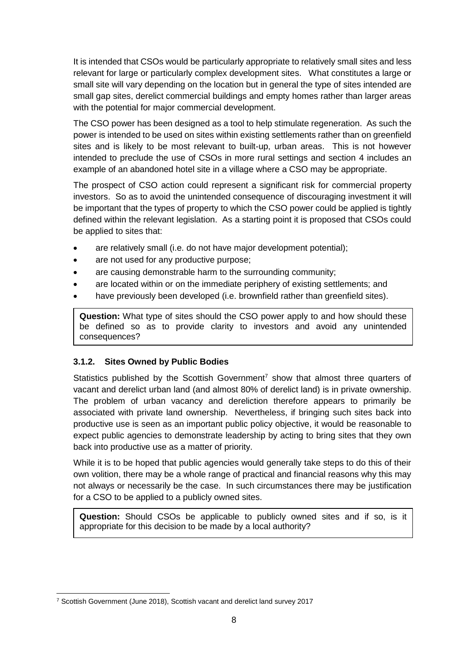It is intended that CSOs would be particularly appropriate to relatively small sites and less relevant for large or particularly complex development sites. What constitutes a large or small site will vary depending on the location but in general the type of sites intended are small gap sites, derelict commercial buildings and empty homes rather than larger areas with the potential for major commercial development.

The CSO power has been designed as a tool to help stimulate regeneration. As such the power is intended to be used on sites within existing settlements rather than on greenfield sites and is likely to be most relevant to built-up, urban areas. This is not however intended to preclude the use of CSOs in more rural settings and section 4 includes an example of an abandoned hotel site in a village where a CSO may be appropriate.

The prospect of CSO action could represent a significant risk for commercial property investors. So as to avoid the unintended consequence of discouraging investment it will be important that the types of property to which the CSO power could be applied is tightly defined within the relevant legislation. As a starting point it is proposed that CSOs could be applied to sites that:

- are relatively small (i.e. do not have major development potential);
- are not used for any productive purpose;
- are causing demonstrable harm to the surrounding community;
- are located within or on the immediate periphery of existing settlements; and
- have previously been developed (i.e. brownfield rather than greenfield sites).

**Question:** What type of sites should the CSO power apply to and how should these be defined so as to provide clarity to investors and avoid any unintended consequences?

#### **3.1.2. Sites Owned by Public Bodies**

Statistics published by the Scottish Government<sup>7</sup> show that almost three quarters of vacant and derelict urban land (and almost 80% of derelict land) is in private ownership. The problem of urban vacancy and dereliction therefore appears to primarily be associated with private land ownership. Nevertheless, if bringing such sites back into productive use is seen as an important public policy objective, it would be reasonable to expect public agencies to demonstrate leadership by acting to bring sites that they own back into productive use as a matter of priority.

While it is to be hoped that public agencies would generally take steps to do this of their own volition, there may be a whole range of practical and financial reasons why this may not always or necessarily be the case. In such circumstances there may be justification for a CSO to be applied to a publicly owned sites.

**Question:** Should CSOs be applicable to publicly owned sites and if so, is it appropriate for this decision to be made by a local authority?

-

<sup>7</sup> Scottish Government (June 2018), Scottish vacant and derelict land survey 2017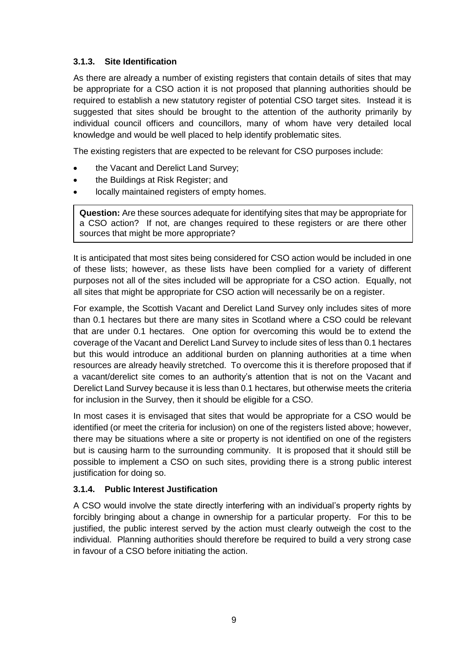## <span id="page-10-0"></span>**3.1.3. Site Identification**

As there are already a number of existing registers that contain details of sites that may be appropriate for a CSO action it is not proposed that planning authorities should be required to establish a new statutory register of potential CSO target sites. Instead it is suggested that sites should be brought to the attention of the authority primarily by individual council officers and councillors, many of whom have very detailed local knowledge and would be well placed to help identify problematic sites.

The existing registers that are expected to be relevant for CSO purposes include:

- the Vacant and Derelict Land Survey;
- the Buildings at Risk Register; and
- locally maintained registers of empty homes.

**Question:** Are these sources adequate for identifying sites that may be appropriate for a CSO action? If not, are changes required to these registers or are there other sources that might be more appropriate?

It is anticipated that most sites being considered for CSO action would be included in one of these lists; however, as these lists have been complied for a variety of different purposes not all of the sites included will be appropriate for a CSO action. Equally, not all sites that might be appropriate for CSO action will necessarily be on a register.

For example, the Scottish Vacant and Derelict Land Survey only includes sites of more than 0.1 hectares but there are many sites in Scotland where a CSO could be relevant that are under 0.1 hectares. One option for overcoming this would be to extend the coverage of the Vacant and Derelict Land Survey to include sites of less than 0.1 hectares but this would introduce an additional burden on planning authorities at a time when resources are already heavily stretched. To overcome this it is therefore proposed that if a vacant/derelict site comes to an authority's attention that is not on the Vacant and Derelict Land Survey because it is less than 0.1 hectares, but otherwise meets the criteria for inclusion in the Survey, then it should be eligible for a CSO.

In most cases it is envisaged that sites that would be appropriate for a CSO would be identified (or meet the criteria for inclusion) on one of the registers listed above; however, there may be situations where a site or property is not identified on one of the registers but is causing harm to the surrounding community. It is proposed that it should still be possible to implement a CSO on such sites, providing there is a strong public interest justification for doing so.

#### **3.1.4. Public Interest Justification**

A CSO would involve the state directly interfering with an individual's property rights by forcibly bringing about a change in ownership for a particular property. For this to be justified, the public interest served by the action must clearly outweigh the cost to the individual. Planning authorities should therefore be required to build a very strong case in favour of a CSO before initiating the action.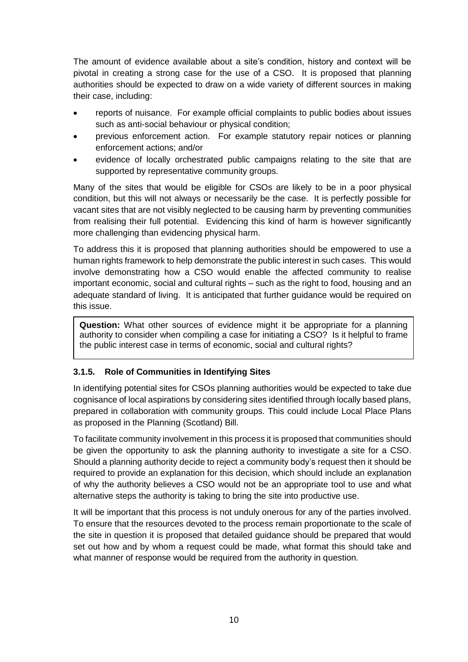The amount of evidence available about a site's condition, history and context will be pivotal in creating a strong case for the use of a CSO. It is proposed that planning authorities should be expected to draw on a wide variety of different sources in making their case, including:

- reports of nuisance. For example official complaints to public bodies about issues such as anti-social behaviour or physical condition;
- previous enforcement action. For example statutory repair notices or planning enforcement actions; and/or
- evidence of locally orchestrated public campaigns relating to the site that are supported by representative community groups.

Many of the sites that would be eligible for CSOs are likely to be in a poor physical condition, but this will not always or necessarily be the case. It is perfectly possible for vacant sites that are not visibly neglected to be causing harm by preventing communities from realising their full potential. Evidencing this kind of harm is however significantly more challenging than evidencing physical harm.

To address this it is proposed that planning authorities should be empowered to use a human rights framework to help demonstrate the public interest in such cases. This would involve demonstrating how a CSO would enable the affected community to realise important economic, social and cultural rights – such as the right to food, housing and an adequate standard of living. It is anticipated that further guidance would be required on this issue.

**Question:** What other sources of evidence might it be appropriate for a planning authority to consider when compiling a case for initiating a CSO? Is it helpful to frame the public interest case in terms of economic, social and cultural rights?

## **3.1.5. Role of Communities in Identifying Sites**

In identifying potential sites for CSOs planning authorities would be expected to take due cognisance of local aspirations by considering sites identified through locally based plans, prepared in collaboration with community groups. This could include Local Place Plans as proposed in the Planning (Scotland) Bill.

To facilitate community involvement in this process it is proposed that communities should be given the opportunity to ask the planning authority to investigate a site for a CSO. Should a planning authority decide to reject a community body's request then it should be required to provide an explanation for this decision, which should include an explanation of why the authority believes a CSO would not be an appropriate tool to use and what alternative steps the authority is taking to bring the site into productive use.

It will be important that this process is not unduly onerous for any of the parties involved. To ensure that the resources devoted to the process remain proportionate to the scale of the site in question it is proposed that detailed guidance should be prepared that would set out how and by whom a request could be made, what format this should take and what manner of response would be required from the authority in question.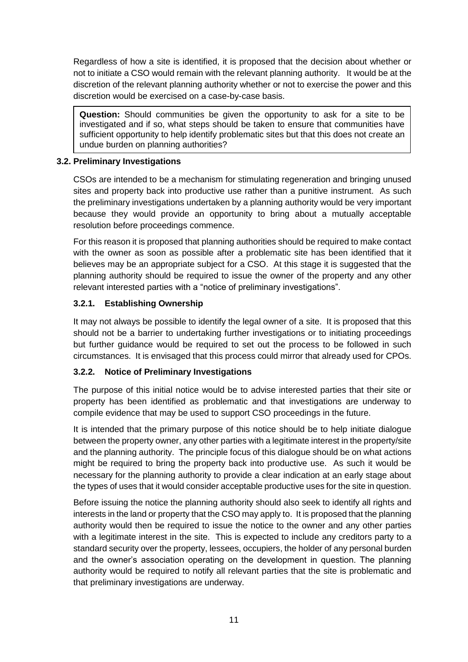Regardless of how a site is identified, it is proposed that the decision about whether or not to initiate a CSO would remain with the relevant planning authority. It would be at the discretion of the relevant planning authority whether or not to exercise the power and this discretion would be exercised on a case-by-case basis.

**Question:** Should communities be given the opportunity to ask for a site to be investigated and if so, what steps should be taken to ensure that communities have sufficient opportunity to help identify problematic sites but that this does not create an undue burden on planning authorities?

## **3.2. Preliminary Investigations**

CSOs are intended to be a mechanism for stimulating regeneration and bringing unused sites and property back into productive use rather than a punitive instrument. As such the preliminary investigations undertaken by a planning authority would be very important because they would provide an opportunity to bring about a mutually acceptable resolution before proceedings commence.

For this reason it is proposed that planning authorities should be required to make contact with the owner as soon as possible after a problematic site has been identified that it believes may be an appropriate subject for a CSO. At this stage it is suggested that the planning authority should be required to issue the owner of the property and any other relevant interested parties with a "notice of preliminary investigations".

## **3.2.1. Establishing Ownership**

It may not always be possible to identify the legal owner of a site. It is proposed that this should not be a barrier to undertaking further investigations or to initiating proceedings but further guidance would be required to set out the process to be followed in such circumstances. It is envisaged that this process could mirror that already used for CPOs.

## **3.2.2. Notice of Preliminary Investigations**

The purpose of this initial notice would be to advise interested parties that their site or property has been identified as problematic and that investigations are underway to compile evidence that may be used to support CSO proceedings in the future.

It is intended that the primary purpose of this notice should be to help initiate dialogue between the property owner, any other parties with a legitimate interest in the property/site and the planning authority. The principle focus of this dialogue should be on what actions might be required to bring the property back into productive use. As such it would be necessary for the planning authority to provide a clear indication at an early stage about the types of uses that it would consider acceptable productive uses for the site in question.

Before issuing the notice the planning authority should also seek to identify all rights and interests in the land or property that the CSO may apply to. It is proposed that the planning authority would then be required to issue the notice to the owner and any other parties with a legitimate interest in the site. This is expected to include any creditors party to a standard security over the property, lessees, occupiers, the holder of any personal burden and the owner's association operating on the development in question. The planning authority would be required to notify all relevant parties that the site is problematic and that preliminary investigations are underway.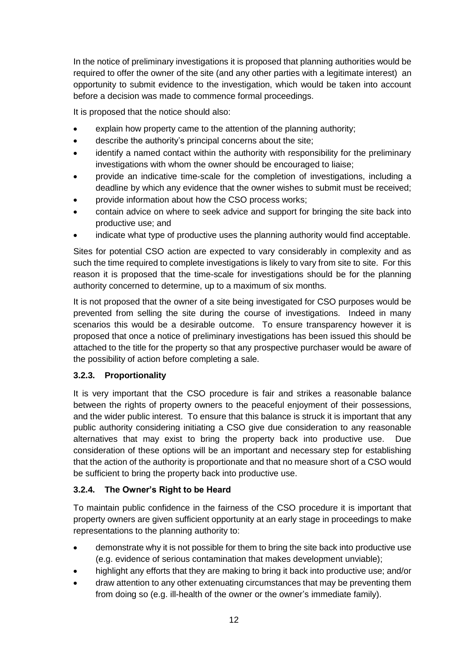In the notice of preliminary investigations it is proposed that planning authorities would be required to offer the owner of the site (and any other parties with a legitimate interest) an opportunity to submit evidence to the investigation, which would be taken into account before a decision was made to commence formal proceedings.

It is proposed that the notice should also:

- explain how property came to the attention of the planning authority;
- describe the authority's principal concerns about the site;
- identify a named contact within the authority with responsibility for the preliminary investigations with whom the owner should be encouraged to liaise;
- provide an indicative time-scale for the completion of investigations, including a deadline by which any evidence that the owner wishes to submit must be received;
- provide information about how the CSO process works;
- contain advice on where to seek advice and support for bringing the site back into productive use; and
- indicate what type of productive uses the planning authority would find acceptable.

Sites for potential CSO action are expected to vary considerably in complexity and as such the time required to complete investigations is likely to vary from site to site. For this reason it is proposed that the time-scale for investigations should be for the planning authority concerned to determine, up to a maximum of six months.

It is not proposed that the owner of a site being investigated for CSO purposes would be prevented from selling the site during the course of investigations. Indeed in many scenarios this would be a desirable outcome. To ensure transparency however it is proposed that once a notice of preliminary investigations has been issued this should be attached to the title for the property so that any prospective purchaser would be aware of the possibility of action before completing a sale.

## **3.2.3. Proportionality**

It is very important that the CSO procedure is fair and strikes a reasonable balance between the rights of property owners to the peaceful enjoyment of their possessions, and the wider public interest. To ensure that this balance is struck it is important that any public authority considering initiating a CSO give due consideration to any reasonable alternatives that may exist to bring the property back into productive use. Due consideration of these options will be an important and necessary step for establishing that the action of the authority is proportionate and that no measure short of a CSO would be sufficient to bring the property back into productive use.

## **3.2.4. The Owner's Right to be Heard**

To maintain public confidence in the fairness of the CSO procedure it is important that property owners are given sufficient opportunity at an early stage in proceedings to make representations to the planning authority to:

- demonstrate why it is not possible for them to bring the site back into productive use (e.g. evidence of serious contamination that makes development unviable);
- highlight any efforts that they are making to bring it back into productive use; and/or
- draw attention to any other extenuating circumstances that may be preventing them from doing so (e.g. ill-health of the owner or the owner's immediate family).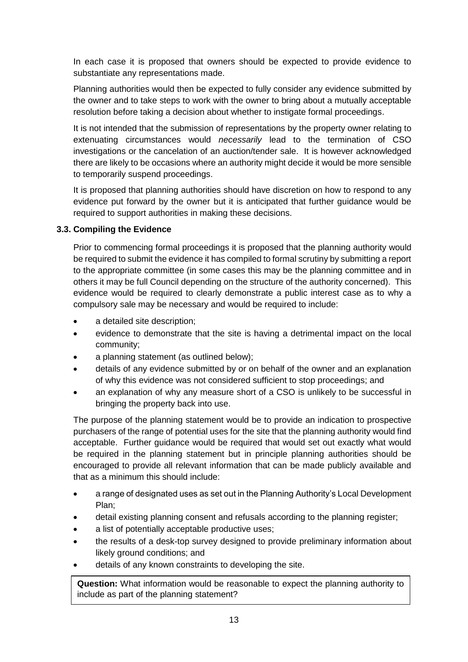In each case it is proposed that owners should be expected to provide evidence to substantiate any representations made.

Planning authorities would then be expected to fully consider any evidence submitted by the owner and to take steps to work with the owner to bring about a mutually acceptable resolution before taking a decision about whether to instigate formal proceedings.

It is not intended that the submission of representations by the property owner relating to extenuating circumstances would *necessarily* lead to the termination of CSO investigations or the cancelation of an auction/tender sale. It is however acknowledged there are likely to be occasions where an authority might decide it would be more sensible to temporarily suspend proceedings.

It is proposed that planning authorities should have discretion on how to respond to any evidence put forward by the owner but it is anticipated that further guidance would be required to support authorities in making these decisions.

## **3.3. Compiling the Evidence**

Prior to commencing formal proceedings it is proposed that the planning authority would be required to submit the evidence it has compiled to formal scrutiny by submitting a report to the appropriate committee (in some cases this may be the planning committee and in others it may be full Council depending on the structure of the authority concerned). This evidence would be required to clearly demonstrate a public interest case as to why a compulsory sale may be necessary and would be required to include:

- a detailed site description;
- evidence to demonstrate that the site is having a detrimental impact on the local community;
- a planning statement (as outlined below);
- details of any evidence submitted by or on behalf of the owner and an explanation of why this evidence was not considered sufficient to stop proceedings; and
- an explanation of why any measure short of a CSO is unlikely to be successful in bringing the property back into use.

The purpose of the planning statement would be to provide an indication to prospective purchasers of the range of potential uses for the site that the planning authority would find acceptable. Further guidance would be required that would set out exactly what would be required in the planning statement but in principle planning authorities should be encouraged to provide all relevant information that can be made publicly available and that as a minimum this should include:

- a range of designated uses as set out in the Planning Authority's Local Development Plan;
- detail existing planning consent and refusals according to the planning register;
- a list of potentially acceptable productive uses;
- the results of a desk-top survey designed to provide preliminary information about likely ground conditions; and
- details of any known constraints to developing the site.

**Question:** What information would be reasonable to expect the planning authority to include as part of the planning statement?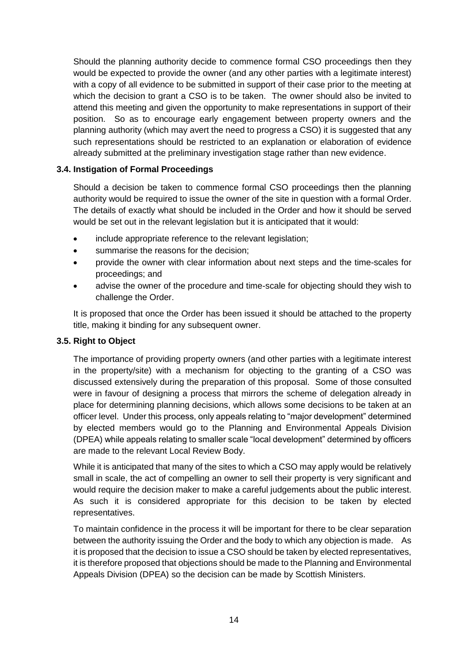Should the planning authority decide to commence formal CSO proceedings then they would be expected to provide the owner (and any other parties with a legitimate interest) with a copy of all evidence to be submitted in support of their case prior to the meeting at which the decision to grant a CSO is to be taken. The owner should also be invited to attend this meeting and given the opportunity to make representations in support of their position. So as to encourage early engagement between property owners and the planning authority (which may avert the need to progress a CSO) it is suggested that any such representations should be restricted to an explanation or elaboration of evidence already submitted at the preliminary investigation stage rather than new evidence.

## **3.4. Instigation of Formal Proceedings**

Should a decision be taken to commence formal CSO proceedings then the planning authority would be required to issue the owner of the site in question with a formal Order. The details of exactly what should be included in the Order and how it should be served would be set out in the relevant legislation but it is anticipated that it would:

- include appropriate reference to the relevant legislation;
- summarise the reasons for the decision;
- provide the owner with clear information about next steps and the time-scales for proceedings; and
- advise the owner of the procedure and time-scale for objecting should they wish to challenge the Order.

It is proposed that once the Order has been issued it should be attached to the property title, making it binding for any subsequent owner.

#### **3.5. Right to Object**

The importance of providing property owners (and other parties with a legitimate interest in the property/site) with a mechanism for objecting to the granting of a CSO was discussed extensively during the preparation of this proposal. Some of those consulted were in favour of designing a process that mirrors the scheme of delegation already in place for determining planning decisions, which allows some decisions to be taken at an officer level. Under this process, only appeals relating to "major development" determined by elected members would go to the Planning and Environmental Appeals Division (DPEA) while appeals relating to smaller scale "local development" determined by officers are made to the relevant Local Review Body.

While it is anticipated that many of the sites to which a CSO may apply would be relatively small in scale, the act of compelling an owner to sell their property is very significant and would require the decision maker to make a careful judgements about the public interest. As such it is considered appropriate for this decision to be taken by elected representatives.

To maintain confidence in the process it will be important for there to be clear separation between the authority issuing the Order and the body to which any objection is made. As it is proposed that the decision to issue a CSO should be taken by elected representatives, it is therefore proposed that objections should be made to the Planning and Environmental Appeals Division (DPEA) so the decision can be made by Scottish Ministers.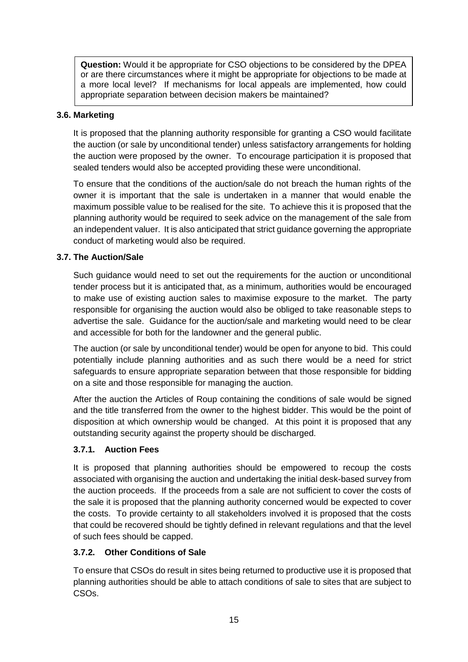**Question:** Would it be appropriate for CSO objections to be considered by the DPEA or are there circumstances where it might be appropriate for objections to be made at a more local level? If mechanisms for local appeals are implemented, how could appropriate separation between decision makers be maintained?

## **3.6. Marketing**

It is proposed that the planning authority responsible for granting a CSO would facilitate the auction (or sale by unconditional tender) unless satisfactory arrangements for holding the auction were proposed by the owner. To encourage participation it is proposed that sealed tenders would also be accepted providing these were unconditional.

To ensure that the conditions of the auction/sale do not breach the human rights of the owner it is important that the sale is undertaken in a manner that would enable the maximum possible value to be realised for the site. To achieve this it is proposed that the planning authority would be required to seek advice on the management of the sale from an independent valuer. It is also anticipated that strict guidance governing the appropriate conduct of marketing would also be required.

## **3.7. The Auction/Sale**

Such guidance would need to set out the requirements for the auction or unconditional tender process but it is anticipated that, as a minimum, authorities would be encouraged to make use of existing auction sales to maximise exposure to the market. The party responsible for organising the auction would also be obliged to take reasonable steps to advertise the sale. Guidance for the auction/sale and marketing would need to be clear and accessible for both for the landowner and the general public.

The auction (or sale by unconditional tender) would be open for anyone to bid. This could potentially include planning authorities and as such there would be a need for strict safeguards to ensure appropriate separation between that those responsible for bidding on a site and those responsible for managing the auction.

After the auction the Articles of Roup containing the conditions of sale would be signed and the title transferred from the owner to the highest bidder. This would be the point of disposition at which ownership would be changed. At this point it is proposed that any outstanding security against the property should be discharged.

## **3.7.1. Auction Fees**

It is proposed that planning authorities should be empowered to recoup the costs associated with organising the auction and undertaking the initial desk-based survey from the auction proceeds. If the proceeds from a sale are not sufficient to cover the costs of the sale it is proposed that the planning authority concerned would be expected to cover the costs. To provide certainty to all stakeholders involved it is proposed that the costs that could be recovered should be tightly defined in relevant regulations and that the level of such fees should be capped.

## **3.7.2. Other Conditions of Sale**

To ensure that CSOs do result in sites being returned to productive use it is proposed that planning authorities should be able to attach conditions of sale to sites that are subject to CSOs.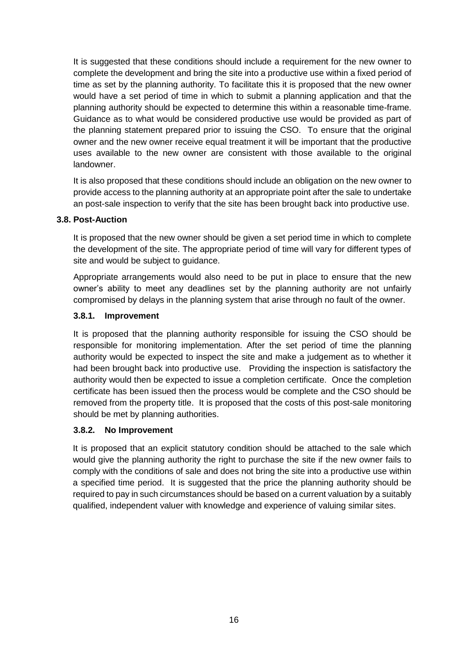It is suggested that these conditions should include a requirement for the new owner to complete the development and bring the site into a productive use within a fixed period of time as set by the planning authority. To facilitate this it is proposed that the new owner would have a set period of time in which to submit a planning application and that the planning authority should be expected to determine this within a reasonable time-frame. Guidance as to what would be considered productive use would be provided as part of the planning statement prepared prior to issuing the CSO. To ensure that the original owner and the new owner receive equal treatment it will be important that the productive uses available to the new owner are consistent with those available to the original landowner.

It is also proposed that these conditions should include an obligation on the new owner to provide access to the planning authority at an appropriate point after the sale to undertake an post-sale inspection to verify that the site has been brought back into productive use.

#### **3.8. Post-Auction**

It is proposed that the new owner should be given a set period time in which to complete the development of the site. The appropriate period of time will vary for different types of site and would be subject to guidance.

Appropriate arrangements would also need to be put in place to ensure that the new owner's ability to meet any deadlines set by the planning authority are not unfairly compromised by delays in the planning system that arise through no fault of the owner.

## **3.8.1. Improvement**

It is proposed that the planning authority responsible for issuing the CSO should be responsible for monitoring implementation. After the set period of time the planning authority would be expected to inspect the site and make a judgement as to whether it had been brought back into productive use. Providing the inspection is satisfactory the authority would then be expected to issue a completion certificate. Once the completion certificate has been issued then the process would be complete and the CSO should be removed from the property title. It is proposed that the costs of this post-sale monitoring should be met by planning authorities.

## **3.8.2. No Improvement**

It is proposed that an explicit statutory condition should be attached to the sale which would give the planning authority the right to purchase the site if the new owner fails to comply with the conditions of sale and does not bring the site into a productive use within a specified time period. It is suggested that the price the planning authority should be required to pay in such circumstances should be based on a current valuation by a suitably qualified, independent valuer with knowledge and experience of valuing similar sites.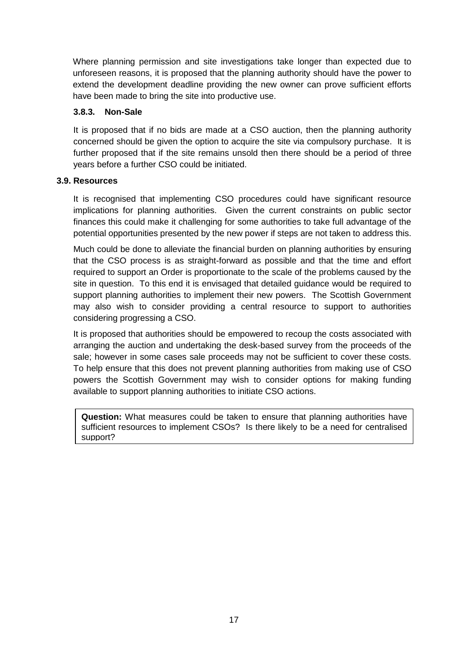Where planning permission and site investigations take longer than expected due to unforeseen reasons, it is proposed that the planning authority should have the power to extend the development deadline providing the new owner can prove sufficient efforts have been made to bring the site into productive use.

## **3.8.3. Non-Sale**

It is proposed that if no bids are made at a CSO auction, then the planning authority concerned should be given the option to acquire the site via compulsory purchase. It is further proposed that if the site remains unsold then there should be a period of three years before a further CSO could be initiated.

## **3.9. Resources**

It is recognised that implementing CSO procedures could have significant resource implications for planning authorities. Given the current constraints on public sector finances this could make it challenging for some authorities to take full advantage of the potential opportunities presented by the new power if steps are not taken to address this.

Much could be done to alleviate the financial burden on planning authorities by ensuring that the CSO process is as straight-forward as possible and that the time and effort required to support an Order is proportionate to the scale of the problems caused by the site in question. To this end it is envisaged that detailed guidance would be required to support planning authorities to implement their new powers. The Scottish Government may also wish to consider providing a central resource to support to authorities considering progressing a CSO.

It is proposed that authorities should be empowered to recoup the costs associated with arranging the auction and undertaking the desk-based survey from the proceeds of the sale; however in some cases sale proceeds may not be sufficient to cover these costs. To help ensure that this does not prevent planning authorities from making use of CSO powers the Scottish Government may wish to consider options for making funding available to support planning authorities to initiate CSO actions.

**Question:** What measures could be taken to ensure that planning authorities have sufficient resources to implement CSOs? Is there likely to be a need for centralised support?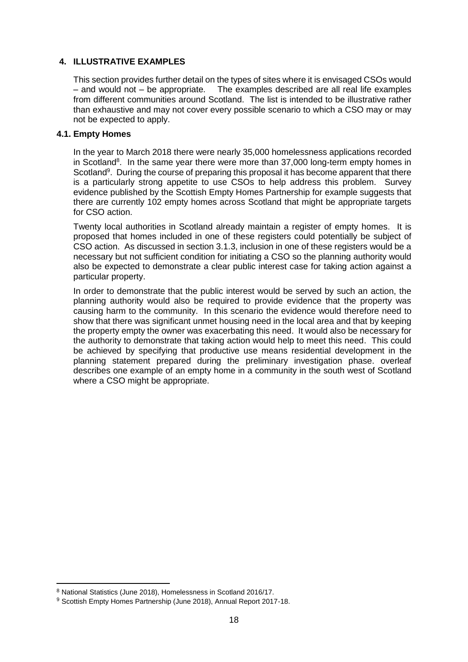#### <span id="page-19-1"></span><span id="page-19-0"></span>**4. ILLUSTRATIVE EXAMPLES**

This section provides further detail on the types of sites where it is envisaged CSOs would – and would not – be appropriate. The examples described are all real life examples from different communities around Scotland. The list is intended to be illustrative rather than exhaustive and may not cover every possible scenario to which a CSO may or may not be expected to apply.

#### **4.1. Empty Homes**

In the year to March 2018 there were nearly 35,000 homelessness applications recorded in Scotland<sup>8</sup>. In the same year there were more than 37,000 long-term empty homes in Scotland<sup>9</sup>. During the course of preparing this proposal it has become apparent that there is a particularly strong appetite to use CSOs to help address this problem. Survey evidence published by the Scottish Empty Homes Partnership for example suggests that there are currently 102 empty homes across Scotland that might be appropriate targets for CSO action.

Twenty local authorities in Scotland already maintain a register of empty homes. It is proposed that homes included in one of these registers could potentially be subject of CSO action. As discussed in section [3.1.3,](#page-10-0) inclusion in one of these registers would be a necessary but not sufficient condition for initiating a CSO so the planning authority would also be expected to demonstrate a clear public interest case for taking action against a particular property.

In order to demonstrate that the public interest would be served by such an action, the planning authority would also be required to provide evidence that the property was causing harm to the community. In this scenario the evidence would therefore need to show that there was significant unmet housing need in the local area and that by keeping the property empty the owner was exacerbating this need. It would also be necessary for the authority to demonstrate that taking action would help to meet this need. This could be achieved by specifying that productive use means residential development in the planning statement prepared during the preliminary investigation phase. overleaf describes one example of an empty home in a community in the south west of Scotland where a CSO might be appropriate.

-

<sup>8</sup> National Statistics (June 2018), Homelessness in Scotland 2016/17.

<sup>9</sup> Scottish Empty Homes Partnership (June 2018), Annual Report 2017-18.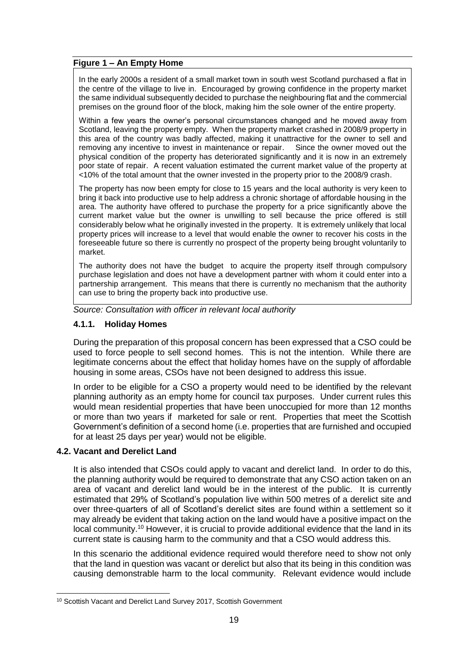#### **Figure 1 – An Empty Home**

In the early 2000s a resident of a small market town in south west Scotland purchased a flat in the centre of the village to live in. Encouraged by growing confidence in the property market the same individual subsequently decided to purchase the neighbouring flat and the commercial premises on the ground floor of the block, making him the sole owner of the entire property.

Within a few years the owner's personal circumstances changed and he moved away from Scotland, leaving the property empty. When the property market crashed in 2008/9 property in this area of the country was badly affected, making it unattractive for the owner to sell and removing any incentive to invest in maintenance or repair. Since the owner moved out the physical condition of the property has deteriorated significantly and it is now in an extremely poor state of repair. A recent valuation estimated the current market value of the property at <10% of the total amount that the owner invested in the property prior to the 2008/9 crash.

The property has now been empty for close to 15 years and the local authority is very keen to bring it back into productive use to help address a chronic shortage of affordable housing in the area. The authority have offered to purchase the property for a price significantly above the current market value but the owner is unwilling to sell because the price offered is still considerably below what he originally invested in the property. It is extremely unlikely that local property prices will increase to a level that would enable the owner to recover his costs in the foreseeable future so there is currently no prospect of the property being brought voluntarily to market.

The authority does not have the budget to acquire the property itself through compulsory purchase legislation and does not have a development partner with whom it could enter into a partnership arrangement. This means that there is currently no mechanism that the authority can use to bring the property back into productive use.

*Source: Consultation with officer in relevant local authority*

#### **4.1.1. Holiday Homes**

During the preparation of this proposal concern has been expressed that a CSO could be used to force people to sell second homes. This is not the intention. While there are legitimate concerns about the effect that holiday homes have on the supply of affordable housing in some areas, CSOs have not been designed to address this issue.

In order to be eligible for a CSO a property would need to be identified by the relevant planning authority as an empty home for council tax purposes. Under current rules this would mean residential properties that have been unoccupied for more than 12 months or more than two years if marketed for sale or rent. Properties that meet the Scottish Government's definition of a second home (i.e. properties that are furnished and occupied for at least 25 days per year) would not be eligible.

#### **4.2. Vacant and Derelict Land**

-

It is also intended that CSOs could apply to vacant and derelict land. In order to do this, the planning authority would be required to demonstrate that any CSO action taken on an area of vacant and derelict land would be in the interest of the public. It is currently estimated that 29% of Scotland's population live within 500 metres of a derelict site and over three-quarters of all of Scotland's derelict sites are found within a settlement so it may already be evident that taking action on the land would have a positive impact on the local community.<sup>10</sup> However, it is crucial to provide additional evidence that the land in its current state is causing harm to the community and that a CSO would address this.

In this scenario the additional evidence required would therefore need to show not only that the land in question was vacant or derelict but also that its being in this condition was causing demonstrable harm to the local community. Relevant evidence would include

<sup>&</sup>lt;sup>10</sup> Scottish Vacant and Derelict Land Survey 2017, Scottish Government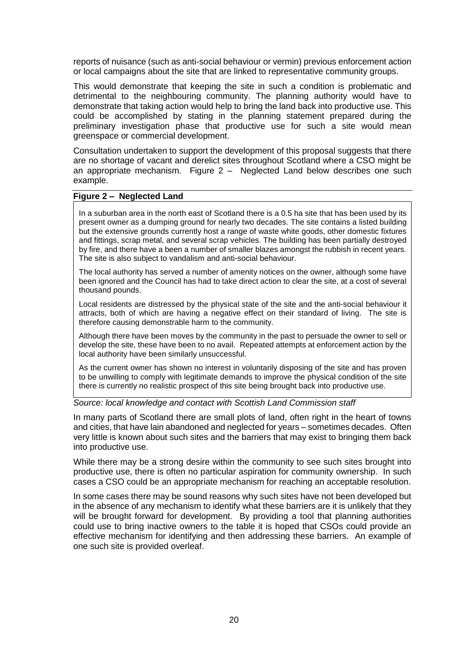reports of nuisance (such as anti-social behaviour or vermin) previous enforcement action or local campaigns about the site that are linked to representative community groups.

This would demonstrate that keeping the site in such a condition is problematic and detrimental to the neighbouring community. The planning authority would have to demonstrate that taking action would help to bring the land back into productive use. This could be accomplished by stating in the planning statement prepared during the preliminary investigation phase that productive use for such a site would mean greenspace or commercial development.

Consultation undertaken to support the development of this proposal suggests that there are no shortage of vacant and derelict sites throughout Scotland where a CSO might be an appropriate mechanism. Figure 2 [– Neglected Land](#page-21-0) below describes one such example.

#### <span id="page-21-0"></span>**Figure 2 – Neglected Land**

In a suburban area in the north east of Scotland there is a 0.5 ha site that has been used by its present owner as a dumping ground for nearly two decades. The site contains a listed building but the extensive grounds currently host a range of waste white goods, other domestic fixtures and fittings, scrap metal, and several scrap vehicles. The building has been partially destroyed by fire, and there have a been a number of smaller blazes amongst the rubbish in recent years. The site is also subject to vandalism and anti-social behaviour.

The local authority has served a number of amenity notices on the owner, although some have been ignored and the Council has had to take direct action to clear the site, at a cost of several thousand pounds.

Local residents are distressed by the physical state of the site and the anti-social behaviour it attracts, both of which are having a negative effect on their standard of living. The site is therefore causing demonstrable harm to the community.

Although there have been moves by the community in the past to persuade the owner to sell or develop the site, these have been to no avail. Repeated attempts at enforcement action by the local authority have been similarly unsuccessful.

As the current owner has shown no interest in voluntarily disposing of the site and has proven to be unwilling to comply with legitimate demands to improve the physical condition of the site there is currently no realistic prospect of this site being brought back into productive use.

*Source: local knowledge and contact with Scottish Land Commission staff*

In many parts of Scotland there are small plots of land, often right in the heart of towns and cities, that have lain abandoned and neglected for years – sometimes decades. Often very little is known about such sites and the barriers that may exist to bringing them back into productive use.

While there may be a strong desire within the community to see such sites brought into productive use, there is often no particular aspiration for community ownership. In such cases a CSO could be an appropriate mechanism for reaching an acceptable resolution.

In some cases there may be sound reasons why such sites have not been developed but in the absence of any mechanism to identify what these barriers are it is unlikely that they will be brought forward for development. By providing a tool that planning authorities could use to bring inactive owners to the table it is hoped that CSOs could provide an effective mechanism for identifying and then addressing these barriers. An example of one such site is provided overleaf.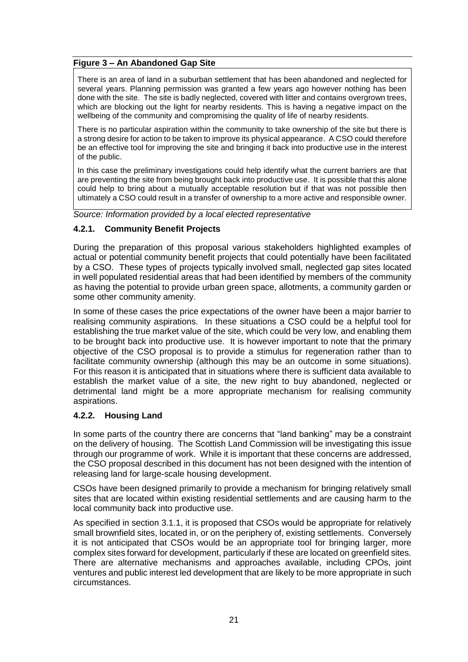#### **Figure 3 – An Abandoned Gap Site**

There is an area of land in a suburban settlement that has been abandoned and neglected for several years. Planning permission was granted a few years ago however nothing has been done with the site. The site is badly neglected, covered with litter and contains overgrown trees, which are blocking out the light for nearby residents. This is having a negative impact on the wellbeing of the community and compromising the quality of life of nearby residents.

There is no particular aspiration within the community to take ownership of the site but there is a strong desire for action to be taken to improve its physical appearance. A CSO could therefore be an effective tool for improving the site and bringing it back into productive use in the interest of the public.

In this case the preliminary investigations could help identify what the current barriers are that are preventing the site from being brought back into productive use. It is possible that this alone could help to bring about a mutually acceptable resolution but if that was not possible then ultimately a CSO could result in a transfer of ownership to a more active and responsible owner.

*Source: Information provided by a local elected representative*

#### **4.2.1. Community Benefit Projects**

During the preparation of this proposal various stakeholders highlighted examples of actual or potential community benefit projects that could potentially have been facilitated by a CSO. These types of projects typically involved small, neglected gap sites located in well populated residential areas that had been identified by members of the community as having the potential to provide urban green space, allotments, a community garden or some other community amenity.

In some of these cases the price expectations of the owner have been a major barrier to realising community aspirations. In these situations a CSO could be a helpful tool for establishing the true market value of the site, which could be very low, and enabling them to be brought back into productive use. It is however important to note that the primary objective of the CSO proposal is to provide a stimulus for regeneration rather than to facilitate community ownership (although this may be an outcome in some situations). For this reason it is anticipated that in situations where there is sufficient data available to establish the market value of a site, the new right to buy abandoned, neglected or detrimental land might be a more appropriate mechanism for realising community aspirations.

#### **4.2.2. Housing Land**

In some parts of the country there are concerns that "land banking" may be a constraint on the delivery of housing. The Scottish Land Commission will be investigating this issue through our programme of work. While it is important that these concerns are addressed, the CSO proposal described in this document has not been designed with the intention of releasing land for large-scale housing development.

CSOs have been designed primarily to provide a mechanism for bringing relatively small sites that are located within existing residential settlements and are causing harm to the local community back into productive use.

As specified in section [3.1.1,](#page-8-2) it is proposed that CSOs would be appropriate for relatively small brownfield sites, located in, or on the periphery of, existing settlements. Conversely it is not anticipated that CSOs would be an appropriate tool for bringing larger, more complex sites forward for development, particularly if these are located on greenfield sites. There are alternative mechanisms and approaches available, including CPOs, joint ventures and public interest led development that are likely to be more appropriate in such circumstances.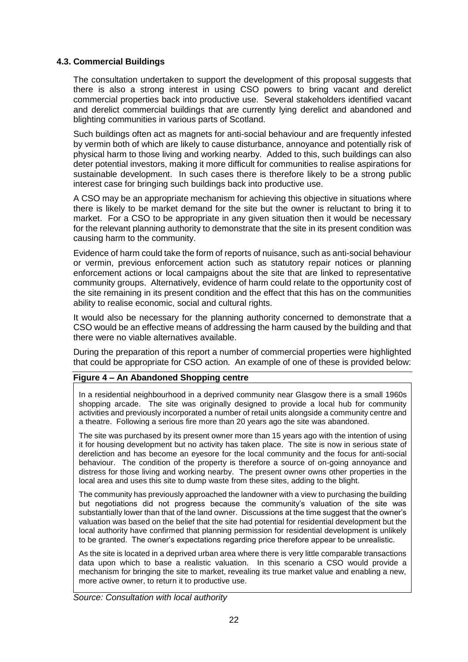## **4.3. Commercial Buildings**

The consultation undertaken to support the development of this proposal suggests that there is also a strong interest in using CSO powers to bring vacant and derelict commercial properties back into productive use. Several stakeholders identified vacant and derelict commercial buildings that are currently lying derelict and abandoned and blighting communities in various parts of Scotland.

Such buildings often act as magnets for anti-social behaviour and are frequently infested by vermin both of which are likely to cause disturbance, annoyance and potentially risk of physical harm to those living and working nearby. Added to this, such buildings can also deter potential investors, making it more difficult for communities to realise aspirations for sustainable development. In such cases there is therefore likely to be a strong public interest case for bringing such buildings back into productive use.

A CSO may be an appropriate mechanism for achieving this objective in situations where there is likely to be market demand for the site but the owner is reluctant to bring it to market. For a CSO to be appropriate in any given situation then it would be necessary for the relevant planning authority to demonstrate that the site in its present condition was causing harm to the community.

Evidence of harm could take the form of reports of nuisance, such as anti-social behaviour or vermin, previous enforcement action such as statutory repair notices or planning enforcement actions or local campaigns about the site that are linked to representative community groups. Alternatively, evidence of harm could relate to the opportunity cost of the site remaining in its present condition and the effect that this has on the communities ability to realise economic, social and cultural rights.

It would also be necessary for the planning authority concerned to demonstrate that a CSO would be an effective means of addressing the harm caused by the building and that there were no viable alternatives available.

During the preparation of this report a number of commercial properties were highlighted that could be appropriate for CSO action. An example of one of these is provided below:

#### **Figure 4 – An Abandoned Shopping centre**

In a residential neighbourhood in a deprived community near Glasgow there is a small 1960s shopping arcade. The site was originally designed to provide a local hub for community activities and previously incorporated a number of retail units alongside a community centre and a theatre. Following a serious fire more than 20 years ago the site was abandoned.

The site was purchased by its present owner more than 15 years ago with the intention of using it for housing development but no activity has taken place. The site is now in serious state of dereliction and has become an eyesore for the local community and the focus for anti-social behaviour. The condition of the property is therefore a source of on-going annoyance and distress for those living and working nearby. The present owner owns other properties in the local area and uses this site to dump waste from these sites, adding to the blight.

The community has previously approached the landowner with a view to purchasing the building but negotiations did not progress because the community's valuation of the site was substantially lower than that of the land owner. Discussions at the time suggest that the owner's valuation was based on the belief that the site had potential for residential development but the local authority have confirmed that planning permission for residential development is unlikely to be granted. The owner's expectations regarding price therefore appear to be unrealistic.

As the site is located in a deprived urban area where there is very little comparable transactions data upon which to base a realistic valuation. In this scenario a CSO would provide a mechanism for bringing the site to market, revealing its true market value and enabling a new, more active owner, to return it to productive use.

*Source: Consultation with local authority*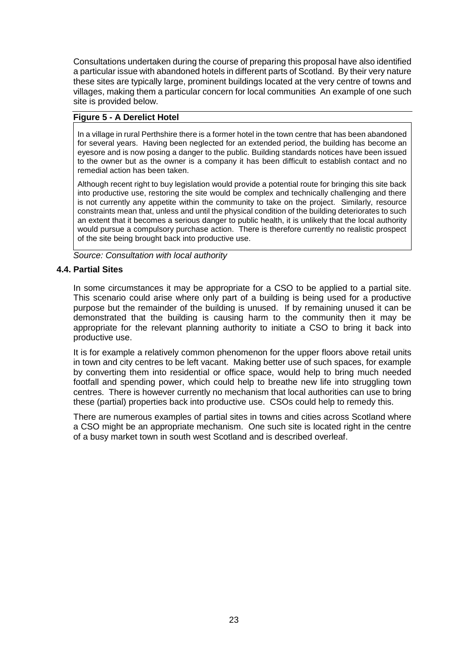Consultations undertaken during the course of preparing this proposal have also identified a particular issue with abandoned hotels in different parts of Scotland. By their very nature these sites are typically large, prominent buildings located at the very centre of towns and villages, making them a particular concern for local communities An example of one such site is provided below.

## **Figure 5 - A Derelict Hotel**

In a village in rural Perthshire there is a former hotel in the town centre that has been abandoned for several years. Having been neglected for an extended period, the building has become an eyesore and is now posing a danger to the public. Building standards notices have been issued to the owner but as the owner is a company it has been difficult to establish contact and no remedial action has been taken.

Although recent right to buy legislation would provide a potential route for bringing this site back into productive use, restoring the site would be complex and technically challenging and there is not currently any appetite within the community to take on the project. Similarly, resource constraints mean that, unless and until the physical condition of the building deteriorates to such an extent that it becomes a serious danger to public health, it is unlikely that the local authority would pursue a compulsory purchase action. There is therefore currently no realistic prospect of the site being brought back into productive use.

*Source: Consultation with local authority*

## **4.4. Partial Sites**

In some circumstances it may be appropriate for a CSO to be applied to a partial site. This scenario could arise where only part of a building is being used for a productive purpose but the remainder of the building is unused. If by remaining unused it can be demonstrated that the building is causing harm to the community then it may be appropriate for the relevant planning authority to initiate a CSO to bring it back into productive use.

It is for example a relatively common phenomenon for the upper floors above retail units in town and city centres to be left vacant. Making better use of such spaces, for example by converting them into residential or office space, would help to bring much needed footfall and spending power, which could help to breathe new life into struggling town centres. There is however currently no mechanism that local authorities can use to bring these (partial) properties back into productive use. CSOs could help to remedy this.

There are numerous examples of partial sites in towns and cities across Scotland where a CSO might be an appropriate mechanism. One such site is located right in the centre of a busy market town in south west Scotland and is described overleaf.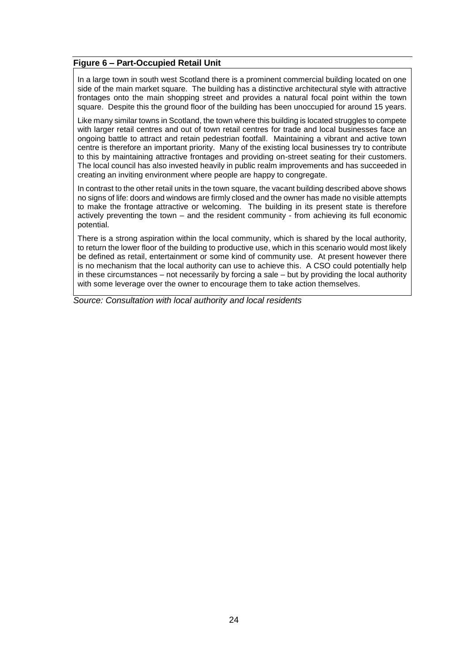#### **Figure 6 – Part-Occupied Retail Unit**

In a large town in south west Scotland there is a prominent commercial building located on one side of the main market square. The building has a distinctive architectural style with attractive frontages onto the main shopping street and provides a natural focal point within the town square. Despite this the ground floor of the building has been unoccupied for around 15 years.

Like many similar towns in Scotland, the town where this building is located struggles to compete with larger retail centres and out of town retail centres for trade and local businesses face an ongoing battle to attract and retain pedestrian footfall. Maintaining a vibrant and active town centre is therefore an important priority. Many of the existing local businesses try to contribute to this by maintaining attractive frontages and providing on-street seating for their customers. The local council has also invested heavily in public realm improvements and has succeeded in creating an inviting environment where people are happy to congregate.

In contrast to the other retail units in the town square, the vacant building described above shows no signs of life: doors and windows are firmly closed and the owner has made no visible attempts to make the frontage attractive or welcoming. The building in its present state is therefore actively preventing the town – and the resident community - from achieving its full economic potential.

There is a strong aspiration within the local community, which is shared by the local authority, to return the lower floor of the building to productive use, which in this scenario would most likely be defined as retail, entertainment or some kind of community use. At present however there is no mechanism that the local authority can use to achieve this. A CSO could potentially help in these circumstances – not necessarily by forcing a sale – but by providing the local authority with some leverage over the owner to encourage them to take action themselves.

*Source: Consultation with local authority and local residents*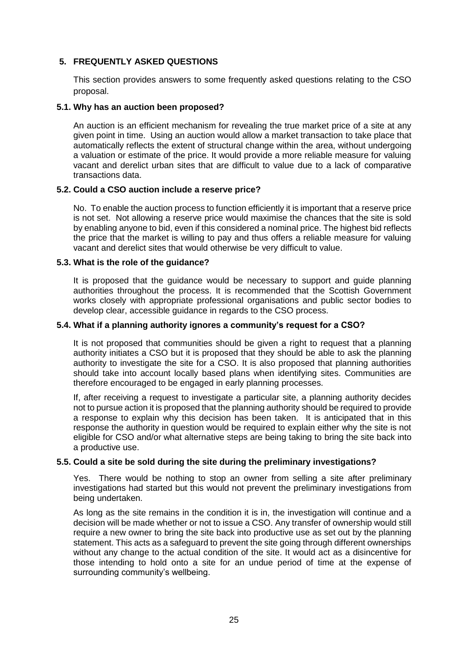## <span id="page-26-1"></span><span id="page-26-0"></span>**5. FREQUENTLY ASKED QUESTIONS**

This section provides answers to some frequently asked questions relating to the CSO proposal.

#### **5.1. Why has an auction been proposed?**

An auction is an efficient mechanism for revealing the true market price of a site at any given point in time. Using an auction would allow a market transaction to take place that automatically reflects the extent of structural change within the area, without undergoing a valuation or estimate of the price. It would provide a more reliable measure for valuing vacant and derelict urban sites that are difficult to value due to a lack of comparative transactions data.

#### **5.2. Could a CSO auction include a reserve price?**

No. To enable the auction process to function efficiently it is important that a reserve price is not set. Not allowing a reserve price would maximise the chances that the site is sold by enabling anyone to bid, even if this considered a nominal price. The highest bid reflects the price that the market is willing to pay and thus offers a reliable measure for valuing vacant and derelict sites that would otherwise be very difficult to value.

#### **5.3. What is the role of the guidance?**

It is proposed that the guidance would be necessary to support and guide planning authorities throughout the process. It is recommended that the Scottish Government works closely with appropriate professional organisations and public sector bodies to develop clear, accessible guidance in regards to the CSO process.

#### **5.4. What if a planning authority ignores a community's request for a CSO?**

It is not proposed that communities should be given a right to request that a planning authority initiates a CSO but it is proposed that they should be able to ask the planning authority to investigate the site for a CSO. It is also proposed that planning authorities should take into account locally based plans when identifying sites. Communities are therefore encouraged to be engaged in early planning processes.

If, after receiving a request to investigate a particular site, a planning authority decides not to pursue action it is proposed that the planning authority should be required to provide a response to explain why this decision has been taken. It is anticipated that in this response the authority in question would be required to explain either why the site is not eligible for CSO and/or what alternative steps are being taking to bring the site back into a productive use.

#### **5.5. Could a site be sold during the site during the preliminary investigations?**

Yes. There would be nothing to stop an owner from selling a site after preliminary investigations had started but this would not prevent the preliminary investigations from being undertaken.

As long as the site remains in the condition it is in, the investigation will continue and a decision will be made whether or not to issue a CSO. Any transfer of ownership would still require a new owner to bring the site back into productive use as set out by the planning statement. This acts as a safeguard to prevent the site going through different ownerships without any change to the actual condition of the site. It would act as a disincentive for those intending to hold onto a site for an undue period of time at the expense of surrounding community's wellbeing.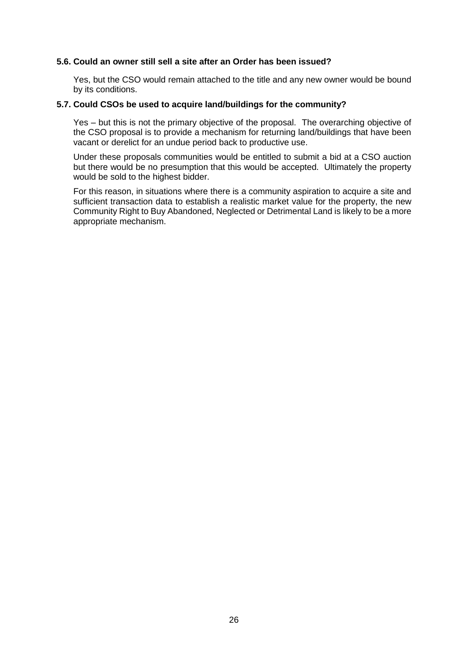#### **5.6. Could an owner still sell a site after an Order has been issued?**

Yes, but the CSO would remain attached to the title and any new owner would be bound by its conditions.

#### **5.7. Could CSOs be used to acquire land/buildings for the community?**

Yes – but this is not the primary objective of the proposal. The overarching objective of the CSO proposal is to provide a mechanism for returning land/buildings that have been vacant or derelict for an undue period back to productive use.

Under these proposals communities would be entitled to submit a bid at a CSO auction but there would be no presumption that this would be accepted. Ultimately the property would be sold to the highest bidder.

For this reason, in situations where there is a community aspiration to acquire a site and sufficient transaction data to establish a realistic market value for the property, the new Community Right to Buy Abandoned, Neglected or Detrimental Land is likely to be a more appropriate mechanism.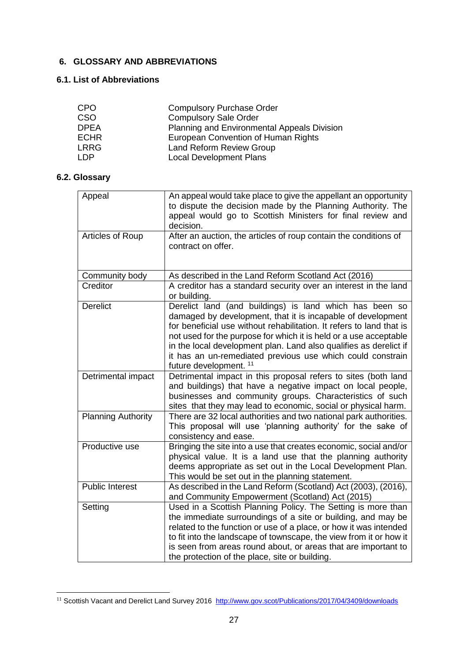## <span id="page-28-1"></span><span id="page-28-0"></span>**6. GLOSSARY AND ABBREVIATIONS**

## **6.1. List of Abbreviations**

| <b>CPO</b>  | <b>Compulsory Purchase Order</b>            |
|-------------|---------------------------------------------|
| <b>CSO</b>  | <b>Compulsory Sale Order</b>                |
| <b>DPEA</b> | Planning and Environmental Appeals Division |
| <b>ECHR</b> | European Convention of Human Rights         |
| <b>LRRG</b> | Land Reform Review Group                    |
| LDP         | <b>Local Development Plans</b>              |

## **6.2. Glossary**

-

| Appeal                    | An appeal would take place to give the appellant an opportunity<br>to dispute the decision made by the Planning Authority. The<br>appeal would go to Scottish Ministers for final review and<br>decision.                                                                                                                                                                                                                                   |
|---------------------------|---------------------------------------------------------------------------------------------------------------------------------------------------------------------------------------------------------------------------------------------------------------------------------------------------------------------------------------------------------------------------------------------------------------------------------------------|
| Articles of Roup          | After an auction, the articles of roup contain the conditions of<br>contract on offer.                                                                                                                                                                                                                                                                                                                                                      |
| Community body            | As described in the Land Reform Scotland Act (2016)                                                                                                                                                                                                                                                                                                                                                                                         |
| Creditor                  | A creditor has a standard security over an interest in the land<br>or building.                                                                                                                                                                                                                                                                                                                                                             |
| <b>Derelict</b>           | Derelict land (and buildings) is land which has been so<br>damaged by development, that it is incapable of development<br>for beneficial use without rehabilitation. It refers to land that is<br>not used for the purpose for which it is held or a use acceptable<br>in the local development plan. Land also qualifies as derelict if<br>it has an un-remediated previous use which could constrain<br>future development. <sup>11</sup> |
| Detrimental impact        | Detrimental impact in this proposal refers to sites (both land<br>and buildings) that have a negative impact on local people,<br>businesses and community groups. Characteristics of such<br>sites that they may lead to economic, social or physical harm.                                                                                                                                                                                 |
| <b>Planning Authority</b> | There are 32 local authorities and two national park authorities.<br>This proposal will use 'planning authority' for the sake of<br>consistency and ease.                                                                                                                                                                                                                                                                                   |
| Productive use            | Bringing the site into a use that creates economic, social and/or<br>physical value. It is a land use that the planning authority<br>deems appropriate as set out in the Local Development Plan.<br>This would be set out in the planning statement.                                                                                                                                                                                        |
| Public Interest           | As described in the Land Reform (Scotland) Act (2003), (2016),<br>and Community Empowerment (Scotland) Act (2015)                                                                                                                                                                                                                                                                                                                           |
| Setting                   | Used in a Scottish Planning Policy. The Setting is more than<br>the immediate surroundings of a site or building, and may be<br>related to the function or use of a place, or how it was intended<br>to fit into the landscape of townscape, the view from it or how it<br>is seen from areas round about, or areas that are important to<br>the protection of the place, site or building.                                                 |

<sup>&</sup>lt;sup>11</sup> Scottish Vacant and Derelict Land Survey 2016<http://www.gov.scot/Publications/2017/04/3409/downloads>